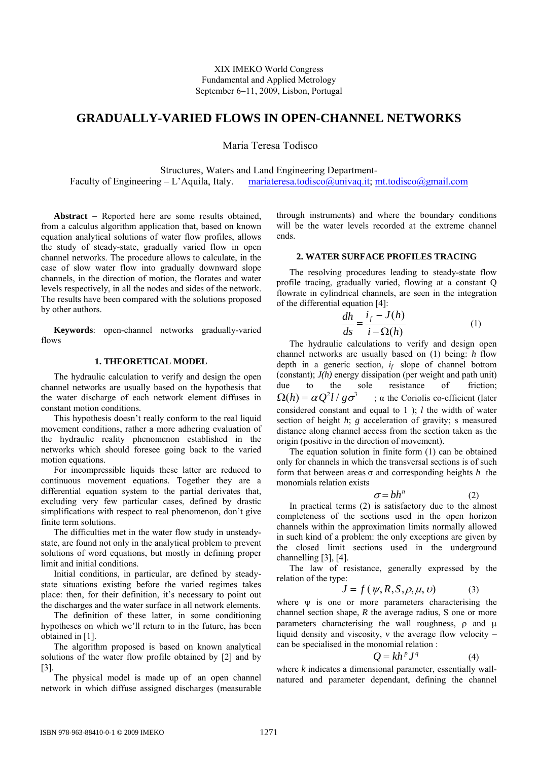# **GRADUALLY-VARIED FLOWS IN OPEN-CHANNEL NETWORKS**

Maria Teresa Todisco

Structures, Waters and Land Engineering Department-

Faculty of Engineering – L'Aquila, Italy. mariateresa.todisco@univaq.it; mt.todisco@gmail.com

**Abstract** − Reported here are some results obtained, from a calculus algorithm application that, based on known equation analytical solutions of water flow profiles, allows the study of steady-state, gradually varied flow in open channel networks. The procedure allows to calculate, in the case of slow water flow into gradually downward slope channels, in the direction of motion, the florates and water levels respectively, in all the nodes and sides of the network. The results have been compared with the solutions proposed by other authors.

**Keywords**: open-channel networks gradually-varied flows

### **1. THEORETICAL MODEL**

The hydraulic calculation to verify and design the open channel networks are usually based on the hypothesis that the water discharge of each network element diffuses in constant motion conditions.

This hypothesis doesn't really conform to the real liquid movement conditions, rather a more adhering evaluation of the hydraulic reality phenomenon established in the networks which should foresee going back to the varied motion equations.

For incompressible liquids these latter are reduced to continuous movement equations. Together they are a differential equation system to the partial derivates that, excluding very few particular cases, defined by drastic simplifications with respect to real phenomenon, don't give finite term solutions.

The difficulties met in the water flow study in unsteadystate, are found not only in the analytical problem to prevent solutions of word equations, but mostly in defining proper limit and initial conditions.

Initial conditions, in particular, are defined by steadystate situations existing before the varied regimes takes place: then, for their definition, it's necessary to point out the discharges and the water surface in all network elements.

The definition of these latter, in some conditioning hypotheses on which we'll return to in the future, has been obtained in [1].

The algorithm proposed is based on known analytical solutions of the water flow profile obtained by [2] and by [3].

The physical model is made up of an open channel network in which diffuse assigned discharges (measurable through instruments) and where the boundary conditions will be the water levels recorded at the extreme channel ends.

### **2. WATER SURFACE PROFILES TRACING**

The resolving procedures leading to steady-state flow profile tracing, gradually varied, flowing at a constant Q flowrate in cylindrical channels, are seen in the integration of the differential equation [4]:

$$
\frac{dh}{ds} = \frac{i_f - J(h)}{i - \Omega(h)}\tag{1}
$$

The hydraulic calculations to verify and design open channel networks are usually based on (1) being: *h* flow depth in a generic section, *if* slope of channel bottom (constant); *J(h)* energy dissipation (per weight and path unit) due to the sole resistance of friction;  $\Omega(h) = \alpha Q^2 l / g \sigma^3$ ; α the Coriolis co-efficient (later considered constant and equal to 1 ); *l* the width of water section of height *h*; *g* acceleration of gravity; *s* measured distance along channel access from the section taken as the origin (positive in the direction of movement).

The equation solution in finite form (1) can be obtained only for channels in which the transversal sections is of such form that between areas σ and corresponding heights *h* the monomials relation exists

$$
\sigma = bh^n \tag{2}
$$

In practical terms (2) is satisfactory due to the almost completeness of the sections used in the open horizon channels within the approximation limits normally allowed in such kind of a problem: the only exceptions are given by the closed limit sections used in the underground channelling [3], [4].

The law of resistance, generally expressed by the relation of the type:

$$
J = f(\psi, R, S, \rho, \mu, \nu) \tag{3}
$$

where  $\psi$  is one or more parameters characterising the channel section shape, *R* the average radius, S one or more parameters characterising the wall roughness, ρ and μ liquid density and viscosity, *v* the average flow velocity – can be specialised in the monomial relation :

$$
Q = kh^p J^q \tag{4}
$$

where *k* indicates a dimensional parameter, essentially wallnatured and parameter dependant, defining the channel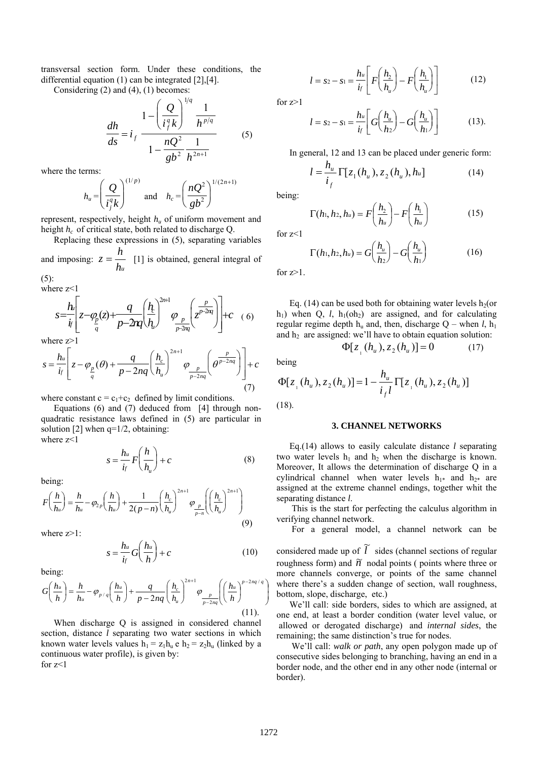transversal section form. Under these conditions, the differential equation (1) can be integrated [2],[4].

Considering (2) and (4), (1) becomes:

$$
\frac{dh}{ds} = i_f \frac{1 - \left(\frac{Q}{i_f^q k}\right)^{1/q} \frac{1}{h^{p/q}}}{1 - \frac{nQ^2}{gb^2} \frac{1}{h^{2n+1}}}
$$
(5)

where the terms:

$$
h_u = \left(\frac{Q}{i_j^q k}\right)^{(1/p)} \text{ and } h_c = \left(\frac{nQ^2}{gb^2}\right)^{1/(2n+1)}
$$

represent, respectively, height *hu* of uniform movement and height *hc* of critical state, both related to discharge Q.

Replacing these expressions in (5), separating variables and imposing:  $z = \frac{h}{h_u}$  $z = \frac{h}{z}$  [1] is obtained, general integral of

 $(5)$ :

where z<1

$$
s = \frac{h}{i} \left[ z - \varphi_2(z) + \frac{q}{p - 2nq} \left( \frac{h}{h} \right)^{2n+1} \varphi_2(z) + \frac{p}{p - 2nq} \left( z^{p - 2nq} \right) \right] + c \quad (6)
$$

where z>1

$$
s = \frac{h_u}{i_f} \left[ z - \varphi_{\frac{p}{q}}(\theta) + \frac{q}{p - 2nq} \left( \frac{h_c}{h_u} \right)^{2n+1} \varphi_{\frac{p}{p - 2nq}} \left( \theta^{\frac{p}{p - 2nq}} \right) \right] + c
$$
\n(7)

where constant  $c = c_1+c_2$  defined by limit conditions.

Equations (6) and (7) deduced from [4] through nonquadratic resistance laws defined in (5) are particular in solution  $[2]$  when  $q=1/2$ , obtaining: where z<1

$$
s = \frac{h_u}{i_f} F\left(\frac{h}{h_u}\right) + c \tag{8}
$$

being:

$$
F\left(\frac{h}{h_u}\right) = \frac{h}{h_u} - \varphi_{2p}\left(\frac{h}{h_u}\right) + \frac{1}{2(p-n)}\left(\frac{h_c}{h_u}\right)^{2n+1} \varphi_{\frac{p}{p-n}}\left(\left(\frac{h_c}{h_u}\right)^{2n+1}\right)
$$
\n(9)

where  $z>1$ :

$$
s = \frac{h_u}{i_f} G\left(\frac{h_u}{h}\right) + c \tag{10}
$$

being:

$$
G\left(\frac{h_u}{h}\right) = \frac{h}{h_u} - \varphi_{p/q}\left(\frac{h_u}{h}\right) + \frac{q}{p - 2nq} \left(\frac{h_c}{h_u}\right)^{2n+1} \varphi_{\frac{p}{p - 2nq}}\left(\left(\frac{h_u}{h}\right)^{p - 2nq/q}\right)
$$
\n(11).

When discharge Q is assigned in considered channel section, distance *l* separating two water sections in which known water levels values  $h_1 = z_1 h_u e h_2 = z_2 h_u$  (linked by a continuous water profile), is given by: for  $z<1$ 

$$
l = s_2 - s_1 = \frac{h_u}{i_f} \left[ F\left(\frac{h_2}{h_u}\right) - F\left(\frac{h_1}{h_u}\right) \right]
$$
 (12)

for  $z>1$ 

$$
l = s_2 - s_1 = \frac{h_u}{i_f} \left[ G\left(\frac{h_u}{h_2}\right) - G\left(\frac{h_u}{h_1}\right) \right]
$$
(13).

In general, 12 and 13 can be placed under generic form:

$$
l = \frac{h_u}{i_f} \Gamma[z_1(h_u), z_2(h_u), h_u]
$$
 (14)

being:

$$
\Gamma(h_1, h_2, h_u) = F\left(\frac{h_2}{h_u}\right) - F\left(\frac{h_1}{h_u}\right) \tag{15}
$$

for z<1

$$
\Gamma(h_1, h_2, h_u) = G\left(\frac{h_u}{h_2}\right) - G\left(\frac{h_u}{h_1}\right) \tag{16}
$$

for  $z>1$ .

Eq. (14) can be used both for obtaining water levels  $h_2$  (or h<sub>1</sub>) when Q, *l*, h<sub>1</sub>(oh<sub>2</sub>) are assigned, and for calculating regular regime depth  $h_u$  and, then, discharge  $Q$  – when *l*,  $h_1$ and  $h_2$  are assigned: we'll have to obtain equation solution:

$$
\Phi[z_{1}(h_{u}), z_{2}(h_{u})] = 0 \tag{17}
$$

being

$$
\Phi[z_{1}(h_{u}), z_{2}(h_{u})] = 1 - \frac{h_{u}}{i_{f}l} \Gamma[z_{1}(h_{u}), z_{2}(h_{u})]
$$
\n(18).

#### **3. CHANNEL NETWORKS**

Eq.(14) allows to easily calculate distance *l* separating two water levels  $h_1$  and  $h_2$  when the discharge is known. Moreover, It allows the determination of discharge Q in a cylindrical channel when water levels  $h_{1*}$  and  $h_{2*}$  are assigned at the extreme channel endings, together whit the separating distance *l*.

 This is the start for perfecting the calculus algorithm in verifying channel network.

 For a general model, a channel network can be considered made up of  $\widetilde{l}$  sides (channel sections of regular roughness form) and  $\tilde{n}$  nodal points ( points where three or more channels converge, or points of the same channel where there's a sudden change of section, wall roughness, bottom, slope, discharge, etc.)

We'll call: side borders, sides to which are assigned, at one end, at least a border condition (water level value, or allowed or derogated discharge) and *internal sides*, the remaining; the same distinction's true for nodes.

 We'll call: *walk or path*, any open polygon made up of consecutive sides belonging to branching, having an end in a border node, and the other end in any other node (internal or border).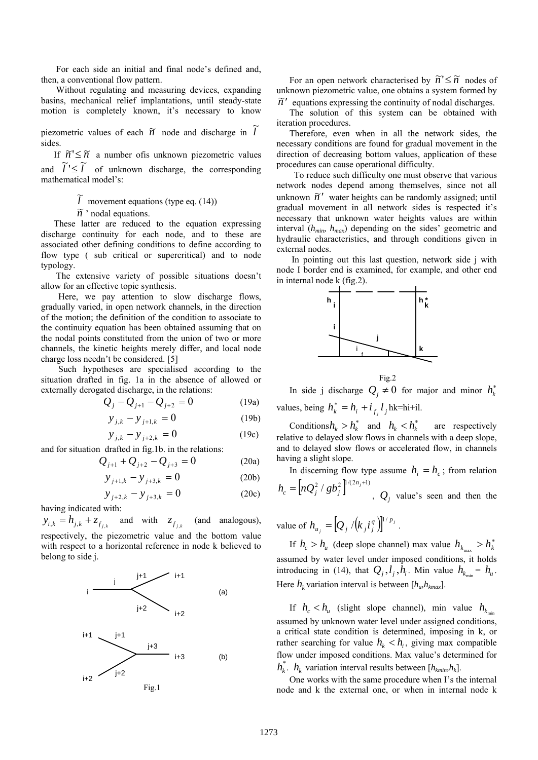For each side an initial and final node's defined and, then, a conventional flow pattern.

 Without regulating and measuring devices, expanding basins, mechanical relief implantations, until steady-state motion is completely known, it's necessary to know

piezometric values of each  $\widetilde{n}$  node and discharge in  $\widetilde{l}$ sides.

If  $\widetilde{n}' \leq \widetilde{n}$  a number of is unknown piezometric values and  $\tilde{l}' \leq \tilde{l}'$  of unknown discharge, the corresponding

mathematical model's:

 $\tilde{l}$  movement equations (type eq. (14))

 $\widetilde{n}$  ' nodal equations.

These latter are reduced to the equation expressing discharge continuity for each node, and to these are associated other defining conditions to define according to flow type ( sub critical or supercritical) and to node typology.

 The extensive variety of possible situations doesn't allow for an effective topic synthesis.

 Here, we pay attention to slow discharge flows, gradually varied, in open network channels, in the direction of the motion; the definition of the condition to associate to the continuity equation has been obtained assuming that on the nodal points constituted from the union of two or more channels, the kinetic heights merely differ, and local node charge loss needn't be considered. [5]

 Such hypotheses are specialised according to the situation drafted in fig. 1a in the absence of allowed or externally derogated discharge, in the relations:

$$
Q_j - Q_{j+1} - Q_{j+2} = 0
$$
 (19a)

$$
y_{j,k} - y_{j+1,k} = 0 \tag{19b}
$$

$$
y_{j,k} - y_{j+2,k} = 0 \tag{19c}
$$

and for situation drafted in fig.1b. in the relations:

$$
Q_{j+1} + Q_{j+2} - Q_{j+3} = 0
$$
 (20a)

$$
y_{j+1,k} - y_{j+3,k} = 0 \tag{20b}
$$

$$
y_{j+2,k} - y_{j+3,k} = 0 \tag{20c}
$$

having indicated with:

$$
y_{i,k} = h_{j,k} + z_{f_{j,k}}
$$
 and with  $z_{f_{j,k}}$  (and analogous), respectively, the piezometric value and the bottom value with respect to a horizontal reference in node k believed to belong to side j.



For an open network characterised by  $\widetilde{n}' \leq \widetilde{n}$  nodes of unknown piezometric value, one obtains a system formed by  $\tilde{n}'$  equations expressing the continuity of nodal discharges.

The solution of this system can be obtained with iteration procedures.

Therefore, even when in all the network sides, the necessary conditions are found for gradual movement in the direction of decreasing bottom values, application of these procedures can cause operational difficulty.

 To reduce such difficulty one must observe that various network nodes depend among themselves, since not all unknown  $\tilde{n}'$  water heights can be randomly assigned; until gradual movement in all network sides is respected it's necessary that unknown water heights values are within interval (*hmin, hmax*) depending on the sides' geometric and hydraulic characteristics, and through conditions given in external nodes.

 In pointing out this last question, network side j with node I border end is examined, for example, and other end in internal node k (fig.2).



$$
Fig. 2
$$

In side j discharge  $Q_j \neq 0$  for major and minor  $h_k^*$ values, being  $h_k^* = h_i + i_{f_j} l_j$  hk=hi+il.

Conditions $h_k > h_k^*$  and  $h_k < h_k^*$  are respectively relative to delayed slow flows in channels with a deep slope, and to delayed slow flows or accelerated flow, in channels having a slight slope.

In discerning flow type assume  $h_i = h_c$ ; from relation  $h_c = \left[ nQ_j^2 / gb_j^2 \right]^{1/(2n_j+1)}$ ,  $Q_j$  value's seen and then the

value of  $h_{u_j} = [Q_j / (k_j i_j^q)]^{1/p_j}$  $h_{u_i} = [Q_j/(k_j i_j^q)]^{1/p_j}$ .

If  $h_c > h_u$  (deep slope channel) max value  $h_{k_{max}} > h_u^*$ assumed by water level under imposed conditions, it holds introducing in (14), that  $Q_i, l_i, h_i$ . Min value  $h_{k-1} = h_{u}$ . Here  $h_k$  variation interval is between  $[h_w, h_{kmax}]$ .

If  $h_c < h_u$  (slight slope channel), min value  $h_{k_{min}}$ assumed by unknown water level under assigned conditions, a critical state condition is determined, imposing in k, or rather searching for value  $h_k < h_i$ , giving max compatible flow under imposed conditions. Max value's determined for  $h_k^*$ .  $h_k$  variation interval results between  $[h_{kmin}, h_k]$ .

One works with the same procedure when I's the internal node and k the external one, or when in internal node k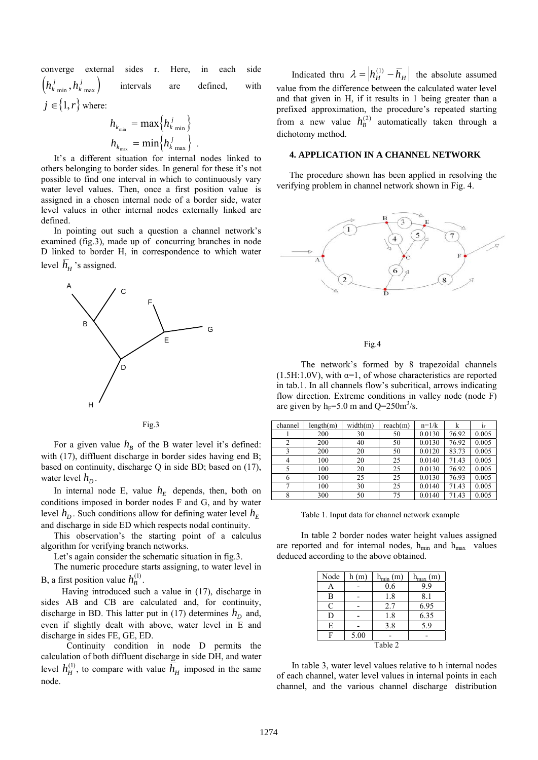converge external sides r. Here, in each side  $\left( h_{k\,\min}^{\,j}\, ,h_{k\,\max}^{\,j}\, \right)$ *k*  $\binom{m}{m}$ ,  $h_{k \max}^{j}$  intervals are defined, with  $j \in \{1, r\}$  where:

$$
h_{k_{\min}} = \max\left\{h_{k_{\min}}^j\right\}
$$

$$
h_{k_{\max}} = \min\left\{h_{k_{\max}}^j\right\}.
$$

It's a different situation for internal nodes linked to others belonging to border sides. In general for these it's not possible to find one interval in which to continuously vary water level values. Then, once a first position value is assigned in a chosen internal node of a border side, water level values in other internal nodes externally linked are defined.

In pointing out such a question a channel network's examined (fig.3), made up of concurring branches in node D linked to border H, in correspondence to which water level  $h_H$  's assigned.



Fig.3

For a given value  $h_B$  of the B water level it's defined: with (17), diffluent discharge in border sides having end B; based on continuity, discharge Q in side BD; based on (17), water level  $h_D$ .

In internal node E, value  $h_E$  depends, then, both on conditions imposed in border nodes F and G, and by water level  $h_D$ . Such conditions allow for defining water level  $h_F$ and discharge in side ED which respects nodal continuity.

This observation's the starting point of a calculus algorithm for verifying branch networks.

Let's again consider the schematic situation in fig.3.

The numeric procedure starts assigning, to water level in B, a first position value  $h_B^{(1)}$ .

 Having introduced such a value in (17), discharge in sides AB and CB are calculated and, for continuity, discharge in BD. This latter put in (17) determines  $h<sub>D</sub>$  and, even if slightly dealt with above, water level in E and discharge in sides FE, GE, ED.

Continuity condition in node D permits the calculation of both diffluent discharge in side DH, and water level  $h_H^{(1)}$ , to compare with value  $\overline{h}_H$  imposed in the same node.

Indicated thru  $\lambda = |h_H^{(1)} - \overline{h}_H|$  the absolute assumed value from the difference between the calculated water level and that given in H, if it results in 1 being greater than a prefixed approximation, the procedure's repeated starting from a new value  $h_B^{(2)}$  automatically taken through a dichotomy method.

## **4. APPLICATION IN A CHANNEL NETWORK**

The procedure shown has been applied in resolving the verifying problem in channel network shown in Fig. 4.



Fig.4

The network's formed by 8 trapezoidal channels  $(1.5H:1.0V)$ , with  $\alpha=1$ , of whose characteristics are reported in tab.1. In all channels flow's subcritical, arrows indicating flow direction. Extreme conditions in valley node (node F) are given by  $h_F = 5.0$  m and Q=250m<sup>3</sup>/s.

| channel | length(m) | width(m) | reach(m) | $n=1/k$ | k     | 1 <sub>f</sub> |
|---------|-----------|----------|----------|---------|-------|----------------|
|         | 200       | 30       | 50       | 0.0130  | 76.92 | 0.005          |
| 2       | 200       | 40       | 50       | 0.0130  | 76.92 | 0.005          |
|         | 200       | 20       | 50       | 0.0120  | 83.73 | 0.005          |
| 4       | 100       | 20       | 25       | 0.0140  | 71.43 | 0.005          |
|         | 100       | 20       | 25       | 0.0130  | 76.92 | 0.005          |
| 6       | 100       | 25       | 25       | 0.0130  | 76.93 | 0.005          |
|         | 100       | 30       | 25       | 0.0140  | 71.43 | 0.005          |
|         | 300       | 50       | 75       | 0.0140  | 71.43 | 0.005          |

Table 1. Input data for channel network example

In table 2 border nodes water height values assigned are reported and for internal nodes,  $h_{min}$  and  $h_{max}$  values deduced according to the above obtained.

| Node    | h(m) | $h_{min}(m)$ | $h_{\text{max}}(m)$ |  |  |  |  |  |
|---------|------|--------------|---------------------|--|--|--|--|--|
|         |      | 0.6          | 99                  |  |  |  |  |  |
| B       |      | 1.8          | 8.1                 |  |  |  |  |  |
| C       |      | 2.7          | 6.95                |  |  |  |  |  |
| D       |      | 1.8          | 6.35                |  |  |  |  |  |
| E       |      | 3.8          | 5.9                 |  |  |  |  |  |
| F       | 5.00 |              |                     |  |  |  |  |  |
| Table 2 |      |              |                     |  |  |  |  |  |

 In table 3, water level values relative to h internal nodes of each channel, water level values in internal points in each channel, and the various channel discharge distribution